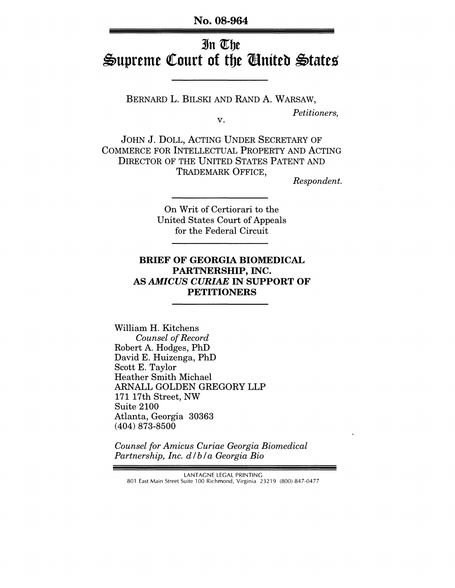No. 08-964

# In The Supreme Court of the United States

BERNARD L. BILSKI AND RAND A. WARSAW, *Petitioners,*  v.

JOHN J. DOLL, ACTING UNDER SECRETARY OF COMMERCE FOR INTELLECTUAL PROPERTY AND ACTING DIRECTOR OF THE UNITED STATES PATENT AND TRADEMARK OFFICE,

*Respondent.* 

On Writ of Certiorari to the United States Court of Appeals for the Federal Circuit

#### BRIEF OF GEORGIA BIOMEDICAL PARTNERSHIP, INC. AS *AMICUS CURIAE* IN SUPPORT OF PETITIONERS

William H. Kitchens *Counsel of Record*  Robert A. Hodges, PhD David E. Huizenga, PhD Scott E. Taylor Heather Smith Michael ARNALL GOLDEN GREGORY LLP 171 17th Street, NW Suite 2100 Atlanta, Georgia 30363 (404) 873-8500

*Counsel for Amicus Curiae Georgia Biomedical Partnership, Inc. d* / *b* / *a Georgia Bio* 

LANTAGNE LEGAL PRINTING 801 East Main Street Suite 100 Richmond, Virginia 23219 (800) 847-0477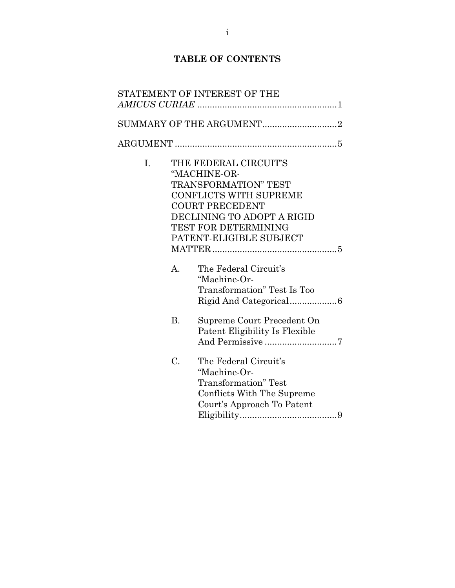## **TABLE OF CONTENTS**

|                | STATEMENT OF INTEREST OF THE                                                                                                                                                                                     |
|----------------|------------------------------------------------------------------------------------------------------------------------------------------------------------------------------------------------------------------|
|                | SUMMARY OF THE ARGUMENT2                                                                                                                                                                                         |
|                |                                                                                                                                                                                                                  |
| I.             | THE FEDERAL CIRCUIT'S<br>"MACHINE-OR-<br><b>TRANSFORMATION" TEST</b><br><b>CONFLICTS WITH SUPREME</b><br><b>COURT PRECEDENT</b><br>DECLINING TO ADOPT A RIGID<br>TEST FOR DETERMINING<br>PATENT-ELIGIBLE SUBJECT |
| $\mathbf{A}$ . | The Federal Circuit's<br>"Machine-Or-<br>Transformation" Test Is Too                                                                                                                                             |
| <b>B.</b>      | Supreme Court Precedent On<br>Patent Eligibility Is Flexible<br>And Permissive 7                                                                                                                                 |
| C.             | The Federal Circuit's<br>"Machine-Or-<br><b>Transformation</b> " Test<br>Conflicts With The Supreme<br>Court's Approach To Patent                                                                                |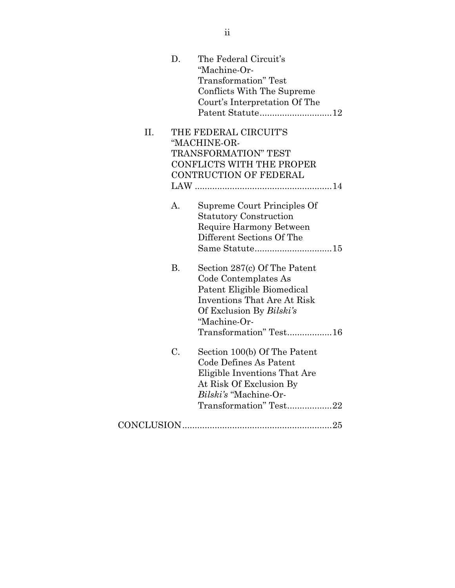|     | D.             | The Federal Circuit's<br>"Machine-Or-<br><b>Transformation</b> " Test<br>Conflicts With The Supreme<br>Court's Interpretation Of The<br>Patent Statute12 |
|-----|----------------|----------------------------------------------------------------------------------------------------------------------------------------------------------|
| II. |                | THE FEDERAL CIRCUIT'S                                                                                                                                    |
|     |                | "MACHINE-OR-                                                                                                                                             |
|     |                | TRANSFORMATION" TEST                                                                                                                                     |
|     |                | <b>CONFLICTS WITH THE PROPER</b>                                                                                                                         |
|     |                | CONTRUCTION OF FEDERAL                                                                                                                                   |
|     |                |                                                                                                                                                          |
|     | $\mathbf{A}$ . | Supreme Court Principles Of                                                                                                                              |
|     |                | <b>Statutory Construction</b>                                                                                                                            |
|     |                | Require Harmony Between                                                                                                                                  |
|     |                | Different Sections Of The                                                                                                                                |
|     |                |                                                                                                                                                          |
|     | <b>B.</b>      | Section 287(c) Of The Patent                                                                                                                             |
|     |                | Code Contemplates As                                                                                                                                     |
|     |                | Patent Eligible Biomedical                                                                                                                               |
|     |                | <b>Inventions That Are At Risk</b>                                                                                                                       |
|     |                | Of Exclusion By Bilski's                                                                                                                                 |
|     |                | "Machine-Or-                                                                                                                                             |
|     |                | Transformation" Test16                                                                                                                                   |
|     | C.             | Section 100(b) Of The Patent                                                                                                                             |
|     |                | Code Defines As Patent                                                                                                                                   |
|     |                | Eligible Inventions That Are                                                                                                                             |
|     |                | At Risk Of Exclusion By                                                                                                                                  |
|     |                | Bilski's "Machine-Or-                                                                                                                                    |
|     |                | Transformation" Test22                                                                                                                                   |
|     |                |                                                                                                                                                          |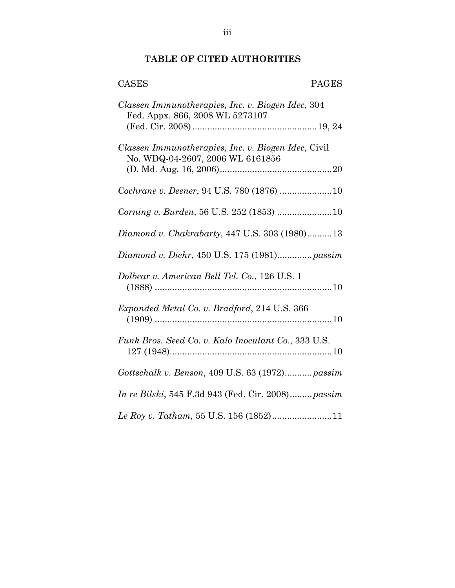## **TABLE OF CITED AUTHORITIES**

| <b>CASES</b><br><b>PAGES</b>                                                            |
|-----------------------------------------------------------------------------------------|
| Classen Immunotherapies, Inc. v. Biogen Idec, 304<br>Fed. Appx. 866, 2008 WL 5273107    |
| Classen Immunotherapies, Inc. v. Biogen Idec, Civil<br>No. WDQ-04-2607, 2006 WL 6161856 |
| Cochrane v. Deener, 94 U.S. 780 (1876) 10                                               |
|                                                                                         |
| Diamond v. Chakrabarty, 447 U.S. 303 (1980)13                                           |
| Diamond v. Diehr, 450 U.S. 175 (1981) passim                                            |
| Dolbear v. American Bell Tel. Co., 126 U.S. 1                                           |
| Expanded Metal Co. v. Bradford, 214 U.S. 366                                            |
| Funk Bros. Seed Co. v. Kalo Inoculant Co., 333 U.S.                                     |
| Gottschalk v. Benson, 409 U.S. 63 (1972) passim                                         |
| <i>In re Bilski</i> , 545 F.3d 943 (Fed. Cir. 2008) <i>passim</i>                       |
|                                                                                         |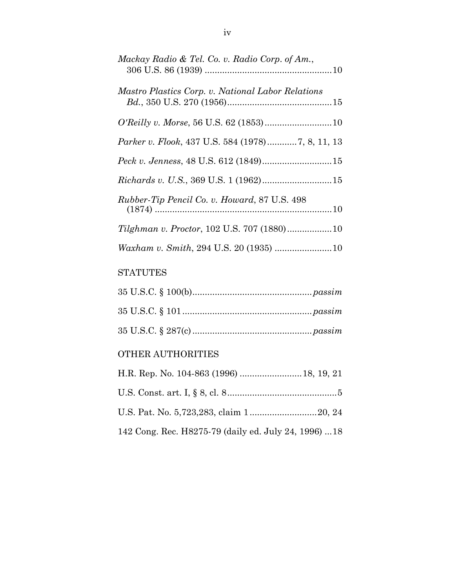| Mackay Radio & Tel. Co. v. Radio Corp. of Am.,      |
|-----------------------------------------------------|
| Mastro Plastics Corp. v. National Labor Relations   |
|                                                     |
| Parker v. Flook, 437 U.S. 584 (1978)7, 8, 11, 13    |
| Peck v. Jenness, 48 U.S. 612 (1849)15               |
|                                                     |
| <i>Rubber-Tip Pencil Co. v. Howard, 87 U.S. 498</i> |
| Tilghman v. Proctor, 102 U.S. 707 (1880)10          |
| Waxham v. Smith, 294 U.S. 20 (1935) 10              |

## **STATUTES**

## OTHER AUTHORITIES

| 142 Cong. Rec. H8275-79 (daily ed. July 24, 1996) 18 |  |
|------------------------------------------------------|--|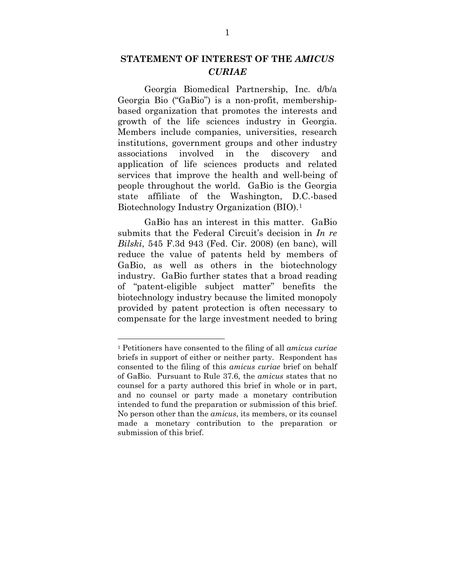## **STATEMENT OF INTEREST OF THE** *AMICUS CURIAE*

<span id="page-5-0"></span>Georgia Biomedical Partnership, Inc. d/b/a Georgia Bio ("GaBio") is a non-profit, membershipbased organization that promotes the interests and growth of the life sciences industry in Georgia. Members include companies, universities, research institutions, government groups and other industry associations involved in the discovery and application of life sciences products and related services that improve the health and well-being of people throughout the world. GaBio is the Georgia state affiliate of the Washington, D.C.-based Biotechnology Industry Organization (BIO).[1](#page-5-1)

GaBio has an interest in this matter. GaBio submits that the Federal Circuit's decision in *In re Bilski*, 545 F.3d 943 (Fed. Cir. 2008) (en banc), will reduce the value of patents held by members of GaBio, as well as others in the biotechnology industry. GaBio further states that a broad reading of "patent-eligible subject matter" benefits the biotechnology industry because the limited monopoly provided by patent protection is often necessary to compensate for the large investment needed to bring

 $\overline{a}$ 

<span id="page-5-1"></span><sup>1</sup> Petitioners have consented to the filing of all *amicus curiae* briefs in support of either or neither party. Respondent has consented to the filing of this *amicus curiae* brief on behalf of GaBio. Pursuant to Rule 37.6, the *amicus* states that no counsel for a party authored this brief in whole or in part, and no counsel or party made a monetary contribution intended to fund the preparation or submission of this brief. No person other than the *amicus*, its members, or its counsel made a monetary contribution to the preparation or submission of this brief.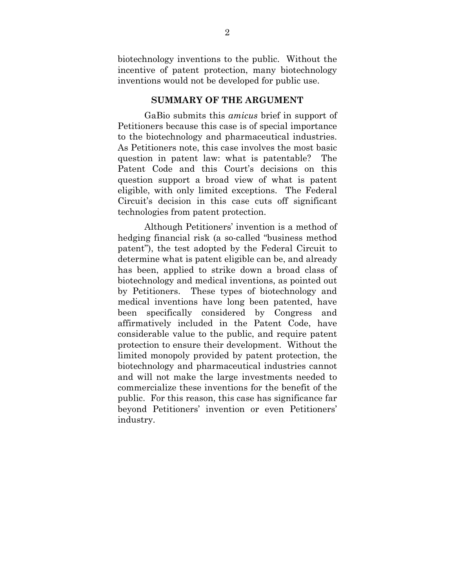biotechnology inventions to the public. Without the incentive of patent protection, many biotechnology inventions would not be developed for public use.

#### **SUMMARY OF THE ARGUMENT**

<span id="page-6-0"></span>GaBio submits this *amicus* brief in support of Petitioners because this case is of special importance to the biotechnology and pharmaceutical industries. As Petitioners note, this case involves the most basic question in patent law: what is patentable? The Patent Code and this Court's decisions on this question support a broad view of what is patent eligible, with only limited exceptions. The Federal Circuit's decision in this case cuts off significant technologies from patent protection.

Although Petitioners' invention is a method of hedging financial risk (a so-called "business method patent"), the test adopted by the Federal Circuit to determine what is patent eligible can be, and already has been, applied to strike down a broad class of biotechnology and medical inventions, as pointed out by Petitioners. These types of biotechnology and medical inventions have long been patented, have been specifically considered by Congress and affirmatively included in the Patent Code, have considerable value to the public, and require patent protection to ensure their development. Without the limited monopoly provided by patent protection, the biotechnology and pharmaceutical industries cannot and will not make the large investments needed to commercialize these inventions for the benefit of the public. For this reason, this case has significance far beyond Petitioners' invention or even Petitioners' industry.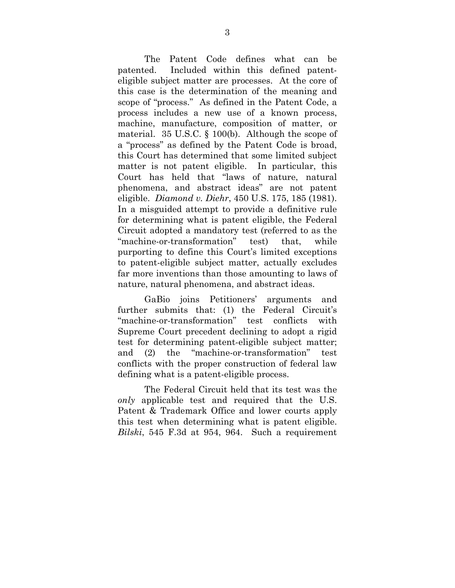The Patent Code defines what can be patented. Included within this defined patenteligible subject matter are processes. At the core of this case is the determination of the meaning and scope of "process." As defined in the Patent Code, a process includes a new use of a known process, machine, manufacture, composition of matter, or material. 35 U.S.C. § 100(b). Although the scope of a "process" as defined by the Patent Code is broad, this Court has determined that some limited subject matter is not patent eligible. In particular, this Court has held that "laws of nature, natural phenomena, and abstract ideas" are not patent eligible. *Diamond v. Diehr*, 450 U.S. 175, 185 (1981). In a misguided attempt to provide a definitive rule for determining what is patent eligible, the Federal Circuit adopted a mandatory test (referred to as the "machine-or-transformation" test) that, while purporting to define this Court's limited exceptions to patent-eligible subject matter, actually excludes far more inventions than those amounting to laws of nature, natural phenomena, and abstract ideas.

GaBio joins Petitioners' arguments and further submits that: (1) the Federal Circuit's "machine-or-transformation" test conflicts with Supreme Court precedent declining to adopt a rigid test for determining patent-eligible subject matter; and (2) the "machine-or-transformation" test conflicts with the proper construction of federal law defining what is a patent-eligible process.

The Federal Circuit held that its test was the *only* applicable test and required that the U.S. Patent & Trademark Office and lower courts apply this test when determining what is patent eligible. *Bilski*, 545 F.3d at 954, 964. Such a requirement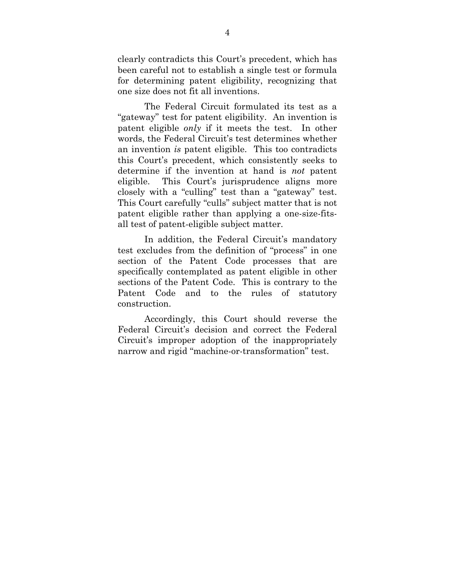clearly contradicts this Court's precedent, which has been careful not to establish a single test or formula for determining patent eligibility, recognizing that one size does not fit all inventions.

The Federal Circuit formulated its test as a "gateway" test for patent eligibility. An invention is patent eligible *only* if it meets the test. In other words, the Federal Circuit's test determines whether an invention *is* patent eligible. This too contradicts this Court's precedent, which consistently seeks to determine if the invention at hand is *not* patent eligible. This Court's jurisprudence aligns more closely with a "culling" test than a "gateway" test. This Court carefully "culls" subject matter that is not patent eligible rather than applying a one-size-fitsall test of patent-eligible subject matter.

In addition, the Federal Circuit's mandatory test excludes from the definition of "process" in one section of the Patent Code processes that are specifically contemplated as patent eligible in other sections of the Patent Code. This is contrary to the Patent Code and to the rules of statutory construction.

Accordingly, this Court should reverse the Federal Circuit's decision and correct the Federal Circuit's improper adoption of the inappropriately narrow and rigid "machine-or-transformation" test.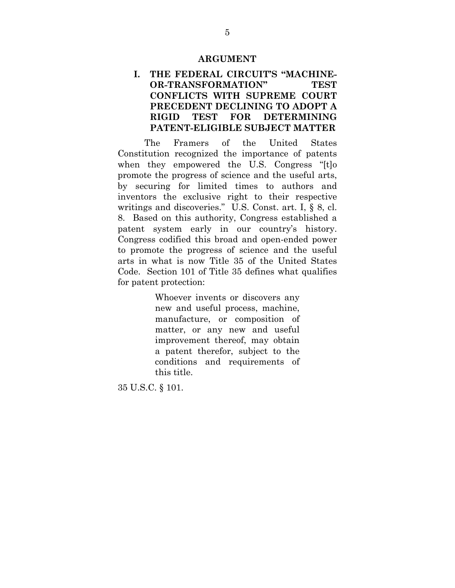#### **ARGUMENT**

#### <span id="page-9-0"></span>**I. THE FEDERAL CIRCUIT'S "MACHINE-OR-TRANSFORMATION" TEST CONFLICTS WITH SUPREME COURT PRECEDENT DECLINING TO ADOPT A RIGID TEST FOR DETERMINING PATENT-ELIGIBLE SUBJECT MATTER**

<span id="page-9-1"></span>The Framers of the United States Constitution recognized the importance of patents when they empowered the U.S. Congress "[t]o promote the progress of science and the useful arts, by securing for limited times to authors and inventors the exclusive right to their respective writings and discoveries." U.S. Const. art. I, § 8, cl. 8. Based on this authority, Congress established a patent system early in our country's history. Congress codified this broad and open-ended power to promote the progress of science and the useful arts in what is now Title 35 of the United States Code. Section 101 of Title 35 defines what qualifies for patent protection:

> Whoever invents or discovers any new and useful process, machine, manufacture, or composition of matter, or any new and useful improvement thereof, may obtain a patent therefor, subject to the conditions and requirements of this title.

35 U.S.C. § 101.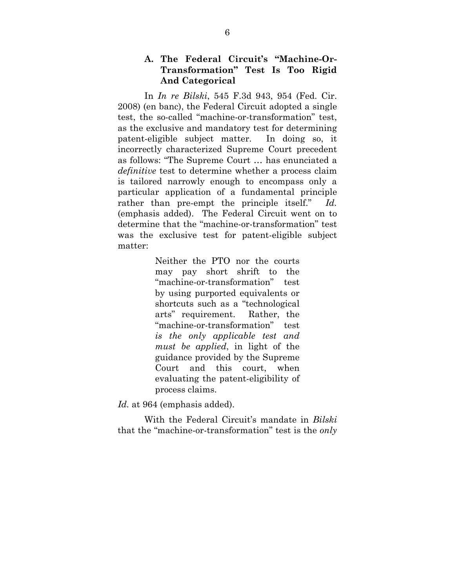#### **A. The Federal Circuit's "Machine-Or-Transformation" Test Is Too Rigid And Categorical**

<span id="page-10-0"></span>In *In re Bilski*, 545 F.3d 943, 954 (Fed. Cir. 2008) (en banc), the Federal Circuit adopted a single test, the so-called "machine-or-transformation" test, as the exclusive and mandatory test for determining patent-eligible subject matter. In doing so, it incorrectly characterized Supreme Court precedent as follows: "The Supreme Court … has enunciated a *definitive* test to determine whether a process claim is tailored narrowly enough to encompass only a particular application of a fundamental principle rather than pre-empt the principle itself." *Id.* (emphasis added). The Federal Circuit went on to determine that the "machine-or-transformation" test was the exclusive test for patent-eligible subject matter:

> Neither the PTO nor the courts may pay short shrift to the "machine-or-transformation" test by using purported equivalents or shortcuts such as a "technological arts" requirement. Rather, the "machine-or-transformation" test *is the only applicable test and must be applied*, in light of the guidance provided by the Supreme Court and this court, when evaluating the patent-eligibility of process claims.

*Id.* at 964 (emphasis added).

With the Federal Circuit's mandate in *Bilski* that the "machine-or-transformation" test is the *only*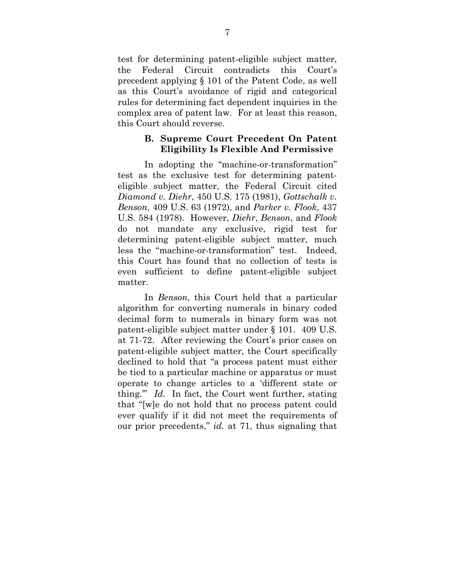test for determining patent-eligible subject matter, the Federal Circuit contradicts this Court's precedent applying § 101 of the Patent Code, as well as this Court's avoidance of rigid and categorical rules for determining fact dependent inquiries in the complex area of patent law. For at least this reason, this Court should reverse.

#### **B. Supreme Court Precedent On Patent Eligibility Is Flexible And Permissive**

<span id="page-11-0"></span>In adopting the "machine-or-transformation" test as the exclusive test for determining patenteligible subject matter, the Federal Circuit cited *Diamond v. Diehr*, 450 U.S. 175 (1981), *Gottschalk v. Benson*, 409 U.S. 63 (1972), and *Parker v. Flook*, 437 U.S. 584 (1978). However, *Diehr*, *Benson*, and *Flook* do not mandate any exclusive, rigid test for determining patent-eligible subject matter, much less the "machine-or-transformation" test. Indeed, this Court has found that no collection of tests is even sufficient to define patent-eligible subject matter.

In *Benson*, this Court held that a particular algorithm for converting numerals in binary coded decimal form to numerals in binary form was not patent-eligible subject matter under § 101. 409 U.S. at 71-72. After reviewing the Court's prior cases on patent-eligible subject matter, the Court specifically declined to hold that "a process patent must either be tied to a particular machine or apparatus or must operate to change articles to a 'different state or thing.'" *Id.* In fact, the Court went further, stating that "[w]e do not hold that no process patent could ever qualify if it did not meet the requirements of our prior precedents," *id.* at 71, thus signaling that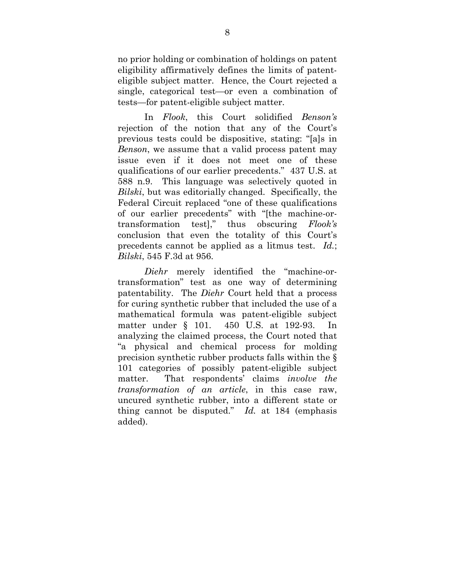no prior holding or combination of holdings on patent eligibility affirmatively defines the limits of patenteligible subject matter. Hence, the Court rejected a single, categorical test—or even a combination of tests—for patent-eligible subject matter.

In *Flook*, this Court solidified *Benson's* rejection of the notion that any of the Court's previous tests could be dispositive, stating: "[a]s in *Benson*, we assume that a valid process patent may issue even if it does not meet one of these qualifications of our earlier precedents." 437 U.S. at 588 n.9. This language was selectively quoted in *Bilski*, but was editorially changed. Specifically, the Federal Circuit replaced "one of these qualifications of our earlier precedents" with "[the machine-ortransformation test]," thus obscuring *Flook's* conclusion that even the totality of this Court's precedents cannot be applied as a litmus test. *Id.*; *Bilski*, 545 F.3d at 956.

*Diehr* merely identified the "machine-ortransformation" test as one way of determining patentability. The *Diehr* Court held that a process for curing synthetic rubber that included the use of a mathematical formula was patent-eligible subject matter under  $\S$  101. 450 U.S. at 192-93. analyzing the claimed process, the Court noted that "a physical and chemical process for molding precision synthetic rubber products falls within the § 101 categories of possibly patent-eligible subject matter. That respondents' claims *involve the transformation of an article*, in this case raw, uncured synthetic rubber, into a different state or thing cannot be disputed." *Id.* at 184 (emphasis added).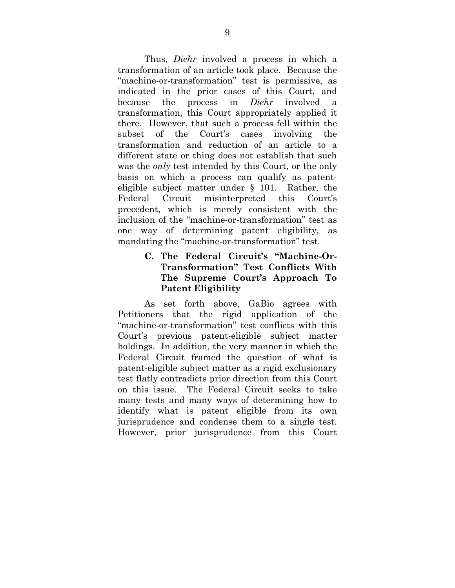Thus, *Diehr* involved a process in which a transformation of an article took place. Because the "machine-or-transformation" test is permissive, as indicated in the prior cases of this Court, and because the process in *Diehr* involved a transformation, this Court appropriately applied it there. However, that such a process fell within the subset of the Court's cases involving the transformation and reduction of an article to a different state or thing does not establish that such was the *only* test intended by this Court, or the only basis on which a process can qualify as patenteligible subject matter under § 101. Rather, the Federal Circuit misinterpreted this Court's precedent, which is merely consistent with the inclusion of the "machine-or-transformation" test as one way of determining patent eligibility, as mandating the "machine-or-transformation" test.

## **C. The Federal Circuit's "Machine-Or-Transformation" Test Conflicts With The Supreme Court's Approach To Patent Eligibility**

<span id="page-13-0"></span>As set forth above, GaBio agrees with Petitioners that the rigid application of the "machine-or-transformation" test conflicts with this Court's previous patent-eligible subject matter holdings. In addition, the very manner in which the Federal Circuit framed the question of what is patent-eligible subject matter as a rigid exclusionary test flatly contradicts prior direction from this Court on this issue. The Federal Circuit seeks to take many tests and many ways of determining how to identify what is patent eligible from its own jurisprudence and condense them to a single test. However, prior jurisprudence from this Court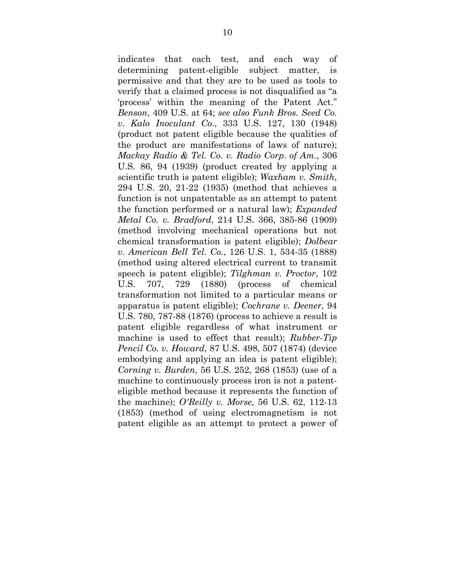indicates that each test, and each way of determining patent-eligible subject matter, is permissive and that they are to be used as tools to verify that a claimed process is not disqualified as "a 'process' within the meaning of the Patent Act." *Benson*, 409 U.S. at 64; *see also Funk Bros. Seed Co. v. Kalo Inoculant Co*., 333 U.S. 127, 130 (1948) (product not patent eligible because the qualities of the product are manifestations of laws of nature); *Mackay Radio & Tel. Co. v. Radio Corp*. *of Am.*, 306 U.S. 86, 94 (1939) (product created by applying a scientific truth is patent eligible); *Waxham v. Smith*, 294 U.S. 20, 21-22 (1935) (method that achieves a function is not unpatentable as an attempt to patent the function performed or a natural law); *Expanded Metal Co. v. Bradford*, 214 U.S. 366, 385-86 (1909) (method involving mechanical operations but not chemical transformation is patent eligible); *Dolbear v. American Bell Tel. Co.*, 126 U.S. 1, 534-35 (1888) (method using altered electrical current to transmit speech is patent eligible); *Tilghman v. Proctor*, 102 U.S. 707, 729 (1880) (process of chemical transformation not limited to a particular means or apparatus is patent eligible); *Cochrane v. Deener*, 94 U.S. 780, 787-88 (1876) (process to achieve a result is patent eligible regardless of what instrument or machine is used to effect that result); *Rubber-Tip Pencil Co. v. Howard*, 87 U.S. 498, 507 (1874) (device embodying and applying an idea is patent eligible); *Corning v. Burden*, 56 U.S. 252, 268 (1853) (use of a machine to continuously process iron is not a patenteligible method because it represents the function of the machine); *O'Reilly v. Morse*, 56 U.S. 62, 112-13 (1853) (method of using electromagnetism is not patent eligible as an attempt to protect a power of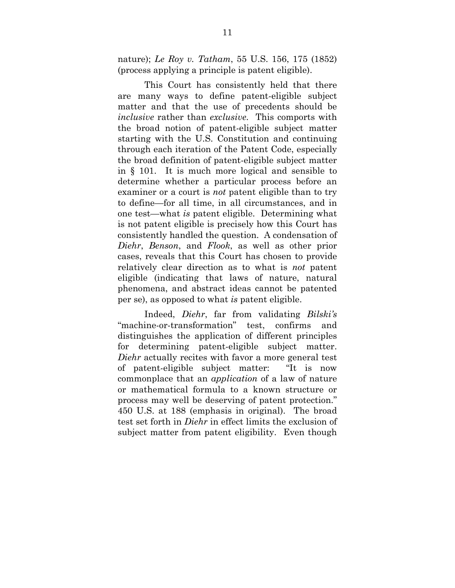nature); *Le Roy v. Tatham*, 55 U.S. 156, 175 (1852) (process applying a principle is patent eligible).

This Court has consistently held that there are many ways to define patent-eligible subject matter and that the use of precedents should be *inclusive* rather than *exclusive*. This comports with the broad notion of patent-eligible subject matter starting with the U.S. Constitution and continuing through each iteration of the Patent Code, especially the broad definition of patent-eligible subject matter in § 101. It is much more logical and sensible to determine whether a particular process before an examiner or a court is *not* patent eligible than to try to define—for all time, in all circumstances, and in one test—what *is* patent eligible. Determining what is not patent eligible is precisely how this Court has consistently handled the question. A condensation of *Diehr*, *Benson*, and *Flook*, as well as other prior cases, reveals that this Court has chosen to provide relatively clear direction as to what is *not* patent eligible (indicating that laws of nature, natural phenomena, and abstract ideas cannot be patented per se), as opposed to what *is* patent eligible.

Indeed, *Diehr*, far from validating *Bilski's* "machine-or-transformation" test, confirms and distinguishes the application of different principles for determining patent-eligible subject matter. *Diehr* actually recites with favor a more general test of patent-eligible subject matter: "It is now commonplace that an *application* of a law of nature or mathematical formula to a known structure or process may well be deserving of patent protection." 450 U.S. at 188 (emphasis in original). The broad test set forth in *Diehr* in effect limits the exclusion of subject matter from patent eligibility. Even though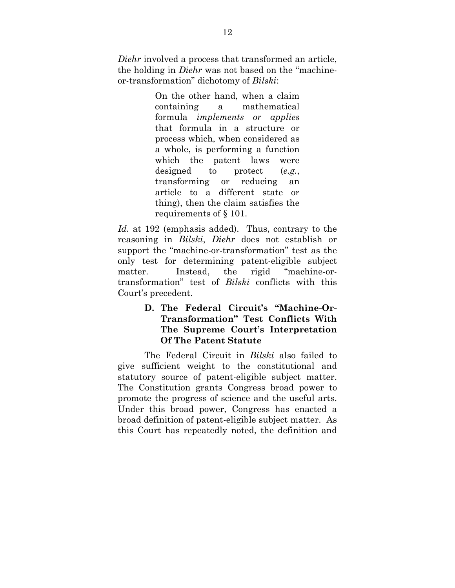*Diehr* involved a process that transformed an article, the holding in *Diehr* was not based on the "machineor-transformation" dichotomy of *Bilski*:

> On the other hand, when a claim containing a mathematical formula *implements or applies* that formula in a structure or process which, when considered as a whole, is performing a function which the patent laws were designed to protect (*e.g.*, transforming or reducing an article to a different state or thing), then the claim satisfies the requirements of § 101.

*Id.* at 192 (emphasis added). Thus, contrary to the reasoning in *Bilski*, *Diehr* does not establish or support the "machine-or-transformation" test as the only test for determining patent-eligible subject matter. Instead, the rigid "machine-ortransformation" test of *Bilski* conflicts with this Court's precedent.

## **D. The Federal Circuit's "Machine-Or-Transformation" Test Conflicts With The Supreme Court's Interpretation Of The Patent Statute**

<span id="page-16-0"></span>The Federal Circuit in *Bilski* also failed to give sufficient weight to the constitutional and statutory source of patent-eligible subject matter. The Constitution grants Congress broad power to promote the progress of science and the useful arts. Under this broad power, Congress has enacted a broad definition of patent-eligible subject matter. As this Court has repeatedly noted, the definition and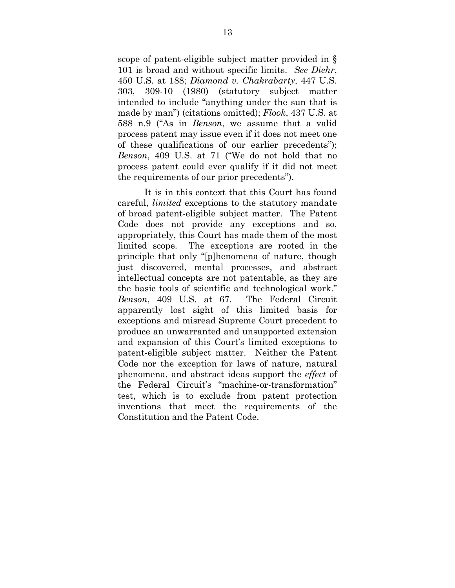scope of patent-eligible subject matter provided in § 101 is broad and without specific limits. *See Diehr*, 450 U.S. at 188; *Diamond v. Chakrabarty*, 447 U.S. 303, 309-10 (1980) (statutory subject matter intended to include "anything under the sun that is made by man") (citations omitted); *Flook*, 437 U.S. at 588 n.9 ("As in *Benson*, we assume that a valid process patent may issue even if it does not meet one of these qualifications of our earlier precedents"); *Benson*, 409 U.S. at 71 ("We do not hold that no process patent could ever qualify if it did not meet the requirements of our prior precedents").

It is in this context that this Court has found careful, *limited* exceptions to the statutory mandate of broad patent-eligible subject matter. The Patent Code does not provide any exceptions and so, appropriately, this Court has made them of the most limited scope. The exceptions are rooted in the principle that only "[p]henomena of nature, though just discovered, mental processes, and abstract intellectual concepts are not patentable, as they are the basic tools of scientific and technological work." *Benson*, 409 U.S. at 67. The Federal Circuit apparently lost sight of this limited basis for exceptions and misread Supreme Court precedent to produce an unwarranted and unsupported extension and expansion of this Court's limited exceptions to patent-eligible subject matter. Neither the Patent Code nor the exception for laws of nature, natural phenomena, and abstract ideas support the *effect* of the Federal Circuit's "machine-or-transformation" test, which is to exclude from patent protection inventions that meet the requirements of the Constitution and the Patent Code.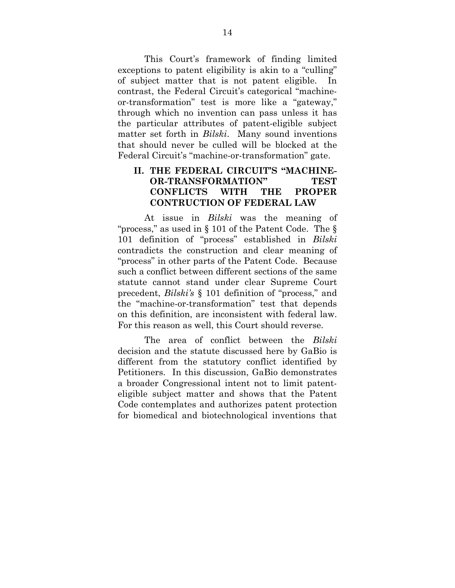This Court's framework of finding limited exceptions to patent eligibility is akin to a "culling" of subject matter that is not patent eligible. In contrast, the Federal Circuit's categorical "machineor-transformation" test is more like a "gateway," through which no invention can pass unless it has the particular attributes of patent-eligible subject matter set forth in *Bilski*. Many sound inventions that should never be culled will be blocked at the Federal Circuit's "machine-or-transformation" gate.

#### **II. THE FEDERAL CIRCUIT'S "MACHINE-OR-TRANSFORMATION" TEST CONFLICTS WITH THE PROPER CONTRUCTION OF FEDERAL LAW**

<span id="page-18-0"></span>At issue in *Bilski* was the meaning of "process," as used in § 101 of the Patent Code. The § 101 definition of "process" established in *Bilski* contradicts the construction and clear meaning of "process" in other parts of the Patent Code. Because such a conflict between different sections of the same statute cannot stand under clear Supreme Court precedent, *Bilski's* § 101 definition of "process," and the "machine-or-transformation" test that depends on this definition, are inconsistent with federal law. For this reason as well, this Court should reverse.

The area of conflict between the *Bilski* decision and the statute discussed here by GaBio is different from the statutory conflict identified by Petitioners. In this discussion, GaBio demonstrates a broader Congressional intent not to limit patenteligible subject matter and shows that the Patent Code contemplates and authorizes patent protection for biomedical and biotechnological inventions that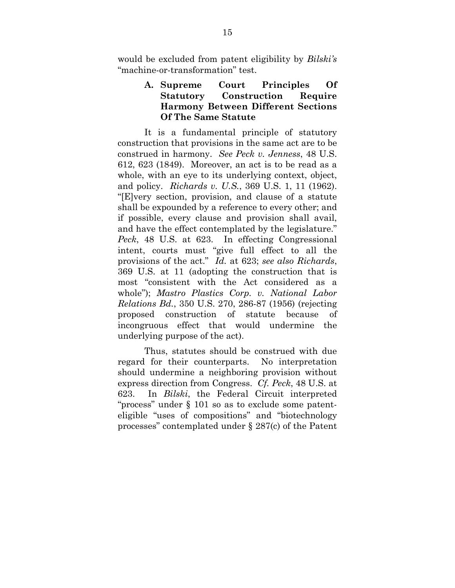would be excluded from patent eligibility by *Bilski's* "machine-or-transformation" test.

## **A. Supreme Court Principles Of Statutory Construction Require Harmony Between Different Sections Of The Same Statute**

<span id="page-19-0"></span>It is a fundamental principle of statutory construction that provisions in the same act are to be construed in harmony. *See Peck v. Jenness*, 48 U.S. 612, 623 (1849). Moreover, an act is to be read as a whole, with an eye to its underlying context, object, and policy. *Richards v. U.S.*, 369 U.S. 1, 11 (1962). "[E]very section, provision, and clause of a statute shall be expounded by a reference to every other; and if possible, every clause and provision shall avail, and have the effect contemplated by the legislature." *Peck*, 48 U.S. at 623. In effecting Congressional intent, courts must "give full effect to all the provisions of the act." *Id.* at 623; *see also Richards*, 369 U.S. at 11 (adopting the construction that is most "consistent with the Act considered as a whole"); *Mastro Plastics Corp. v. National Labor Relations Bd.*, 350 U.S. 270, 286-87 (1956) (rejecting proposed construction of statute because of incongruous effect that would undermine the underlying purpose of the act).

Thus, statutes should be construed with due regard for their counterparts. No interpretation should undermine a neighboring provision without express direction from Congress. *Cf. Peck*, 48 U.S. at 623. In *Bilski*, the Federal Circuit interpreted "process" under § 101 so as to exclude some patenteligible "uses of compositions" and "biotechnology processes" contemplated under § 287(c) of the Patent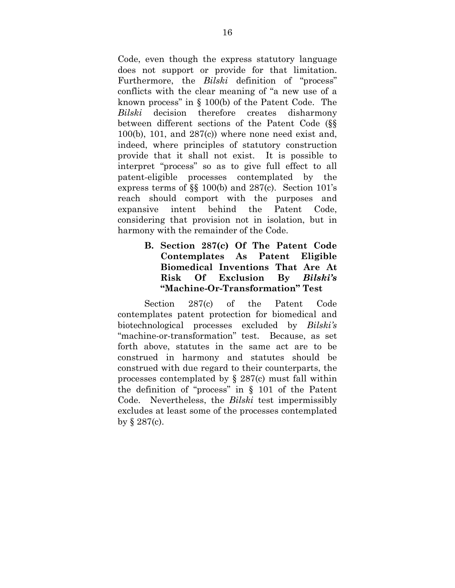Code, even though the express statutory language does not support or provide for that limitation. Furthermore, the *Bilski* definition of "process" conflicts with the clear meaning of "a new use of a known process" in § 100(b) of the Patent Code. The *Bilski* decision therefore creates disharmony between different sections of the Patent Code (§§  $100(b)$ ,  $101$ , and  $287(c)$ ) where none need exist and, indeed, where principles of statutory construction provide that it shall not exist. It is possible to interpret "process" so as to give full effect to all patent-eligible processes contemplated by the express terms of §§ 100(b) and 287(c). Section 101's reach should comport with the purposes and expansive intent behind the Patent Code, considering that provision not in isolation, but in harmony with the remainder of the Code.

## **B. Section 287(c) Of The Patent Code Contemplates As Patent Eligible Biomedical Inventions That Are At Risk Of Exclusion By** *Bilski's* **"Machine-Or-Transformation" Test**

<span id="page-20-0"></span>Section 287(c) of the Patent Code contemplates patent protection for biomedical and biotechnological processes excluded by *Bilski's* "machine-or-transformation" test. Because, as set forth above, statutes in the same act are to be construed in harmony and statutes should be construed with due regard to their counterparts, the processes contemplated by § 287(c) must fall within the definition of "process" in § 101 of the Patent Code. Nevertheless, the *Bilski* test impermissibly excludes at least some of the processes contemplated by  $\S 287(c)$ .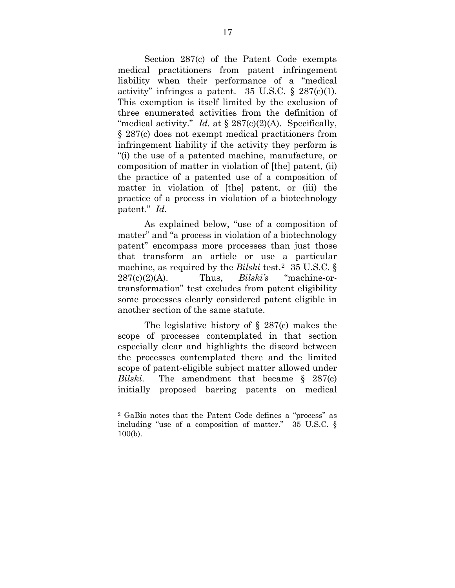Section 287(c) of the Patent Code exempts medical practitioners from patent infringement liability when their performance of a "medical activity" infringes a patent.  $35 \text{ U.S.C.}$  §  $287(c)(1)$ . This exemption is itself limited by the exclusion of three enumerated activities from the definition of "medical activity." *Id.* at § 287(c)(2)(A). Specifically, § 287(c) does not exempt medical practitioners from infringement liability if the activity they perform is "(i) the use of a patented machine, manufacture, or composition of matter in violation of [the] patent, (ii) the practice of a patented use of a composition of matter in violation of [the] patent, or (iii) the practice of a process in violation of a biotechnology patent." *Id.*

As explained below, "use of a composition of matter" and "a process in violation of a biotechnology patent" encompass more processes than just those that transform an article or use a particular machine, as required by the *Bilski* test.<sup>[2](#page-21-0)</sup> 35 U.S.C. § 287(c)(2)(A). Thus, *Bilski's* "machine-ortransformation" test excludes from patent eligibility some processes clearly considered patent eligible in another section of the same statute.

The legislative history of  $\S$  287(c) makes the scope of processes contemplated in that section especially clear and highlights the discord between the processes contemplated there and the limited scope of patent-eligible subject matter allowed under *Bilski*. The amendment that became § 287(c) initially proposed barring patents on medical

 $\overline{a}$ 

<span id="page-21-0"></span><sup>2</sup> GaBio notes that the Patent Code defines a "process" as including "use of a composition of matter." 35 U.S.C. § 100(b).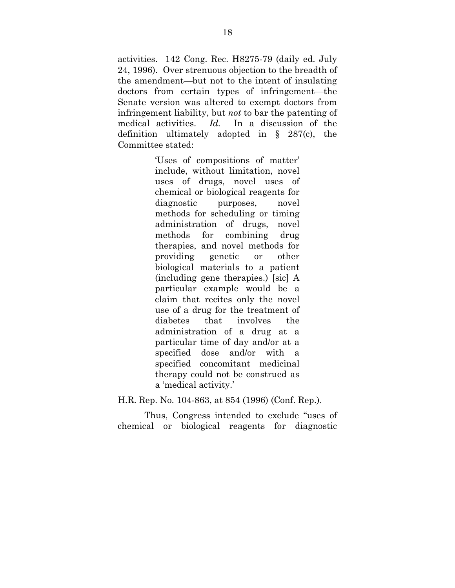activities. 142 Cong. Rec. H8275-79 (daily ed. July 24, 1996). Over strenuous objection to the breadth of the amendment—but not to the intent of insulating doctors from certain types of infringement—the Senate version was altered to exempt doctors from infringement liability, but *not* to bar the patenting of medical activities. *Id.* In a discussion of the definition ultimately adopted in § 287(c), the Committee stated:

> 'Uses of compositions of matter' include, without limitation, novel uses of drugs, novel uses of chemical or biological reagents for diagnostic purposes, novel methods for scheduling or timing administration of drugs, novel methods for combining drug therapies, and novel methods for providing genetic or other biological materials to a patient (including gene therapies.) [sic] A particular example would be a claim that recites only the novel use of a drug for the treatment of diabetes that involves the administration of a drug at a particular time of day and/or at a specified dose and/or with a specified concomitant medicinal therapy could not be construed as a 'medical activity.'

H.R. Rep. No. 104-863, at 854 (1996) (Conf. Rep.).

Thus, Congress intended to exclude "uses of chemical or biological reagents for diagnostic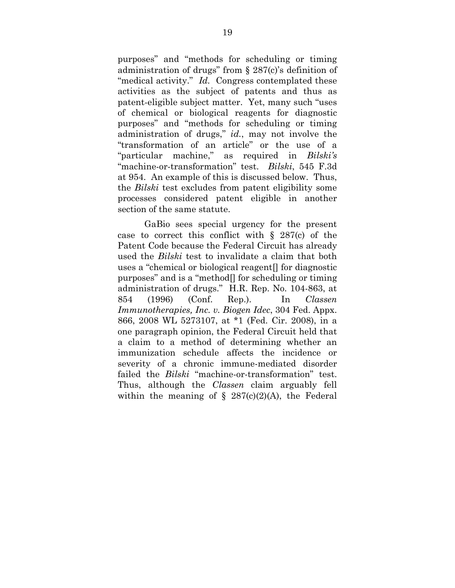purposes" and "methods for scheduling or timing administration of drugs" from § 287(c)'s definition of "medical activity." *Id.* Congress contemplated these activities as the subject of patents and thus as patent-eligible subject matter. Yet, many such "uses of chemical or biological reagents for diagnostic purposes" and "methods for scheduling or timing administration of drugs," *id.*, may not involve the "transformation of an article" or the use of a "particular machine," as required in *Bilski's* "machine-or-transformation" test. *Bilski*, 545 F.3d at 954. An example of this is discussed below. Thus, the *Bilski* test excludes from patent eligibility some processes considered patent eligible in another section of the same statute.

GaBio sees special urgency for the present case to correct this conflict with  $\S$  287(c) of the Patent Code because the Federal Circuit has already used the *Bilski* test to invalidate a claim that both uses a "chemical or biological reagent[] for diagnostic purposes" and is a "method[] for scheduling or timing administration of drugs." H.R. Rep. No. 104-863, at 854 (1996) (Conf. Rep.). In *Classen Immunotherapies, Inc. v. Biogen Idec*, 304 Fed. Appx. 866, 2008 WL 5273107, at \*1 (Fed. Cir. 2008), in a one paragraph opinion, the Federal Circuit held that a claim to a method of determining whether an immunization schedule affects the incidence or severity of a chronic immune-mediated disorder failed the *Bilski* "machine-or-transformation" test. Thus, although the *Classen* claim arguably fell within the meaning of  $\S$  287(c)(2)(A), the Federal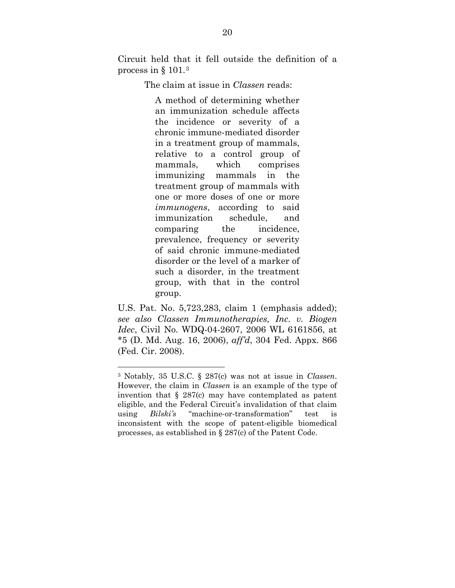Circuit held that it fell outside the definition of a process in § 101.[3](#page-24-0)

The claim at issue in *Classen* reads:

A method of determining whether an immunization schedule affects the incidence or severity of a chronic immune-mediated disorder in a treatment group of mammals, relative to a control group of mammals, which comprises immunizing mammals in the treatment group of mammals with one or more doses of one or more *immunogens*, according to said immunization schedule, and comparing the incidence, prevalence, frequency or severity of said chronic immune-mediated disorder or the level of a marker of such a disorder, in the treatment group, with that in the control group.

U.S. Pat. No. 5,723,283, claim 1 (emphasis added); *see also Classen Immunotherapies, Inc. v. Biogen Idec*, Civil No. WDQ-04-2607, 2006 WL 6161856, at \*5 (D. Md. Aug. 16, 2006), *aff'd*, 304 Fed. Appx. 866 (Fed. Cir. 2008).

 $\overline{a}$ 

<span id="page-24-0"></span><sup>3</sup> Notably, 35 U.S.C. § 287(c) was not at issue in *Classen*. However, the claim in *Classen* is an example of the type of invention that  $\S 287(c)$  may have contemplated as patent eligible, and the Federal Circuit's invalidation of that claim using *Bilski's* "machine-or-transformation" test is inconsistent with the scope of patent-eligible biomedical processes, as established in § 287(c) of the Patent Code.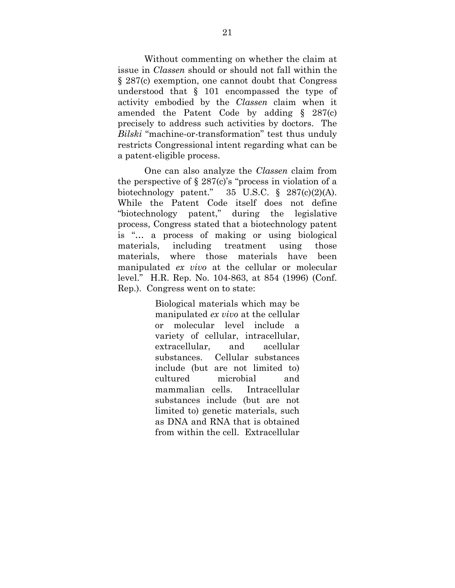Without commenting on whether the claim at issue in *Classen* should or should not fall within the § 287(c) exemption, one cannot doubt that Congress understood that § 101 encompassed the type of activity embodied by the *Classen* claim when it amended the Patent Code by adding § 287(c) precisely to address such activities by doctors. The *Bilski* "machine-or-transformation" test thus unduly restricts Congressional intent regarding what can be a patent-eligible process.

One can also analyze the *Classen* claim from the perspective of  $\S 287(c)$ 's "process in violation of a biotechnology patent."  $35 \text{ U.S.C. }$  §  $287(c)(2)(\text{A}).$ While the Patent Code itself does not define "biotechnology patent," during the legislative process, Congress stated that a biotechnology patent is "… a process of making or using biological materials, including treatment using those materials, where those materials have been manipulated *ex vivo* at the cellular or molecular level." H.R. Rep. No. 104-863, at 854 (1996) (Conf. Rep.). Congress went on to state:

> Biological materials which may be manipulated *ex vivo* at the cellular or molecular level include a variety of cellular, intracellular, extracellular, and acellular substances. Cellular substances include (but are not limited to) cultured microbial and mammalian cells. Intracellular substances include (but are not limited to) genetic materials, such as DNA and RNA that is obtained from within the cell. Extracellular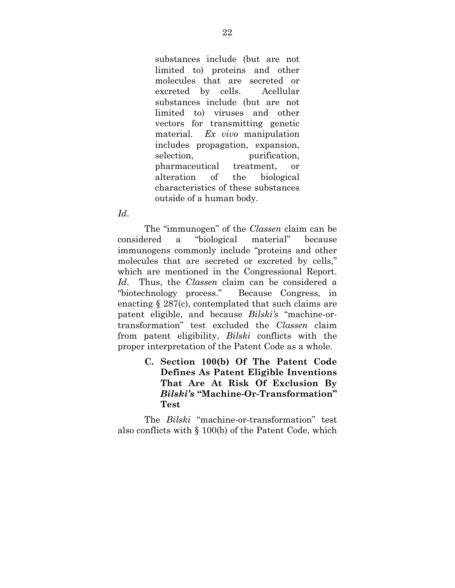substances include (but are not limited to) proteins and other molecules that are secreted or excreted by cells. Acellular substances include (but are not limited to) viruses and other vectors for transmitting genetic material. *Ex vivo* manipulation includes propagation, expansion, selection, purification, pharmaceutical treatment, or alteration of the biological characteristics of these substances outside of a human body.

#### *Id*.

The "immunogen" of the *Classen* claim can be considered a "biological material" because immunogens commonly include "proteins and other molecules that are secreted or excreted by cells," which are mentioned in the Congressional Report. *Id*. Thus, the *Classen* claim can be considered a "biotechnology process." Because Congress, in enacting § 287(c), contemplated that such claims are patent eligible, and because *Bilski's* "machine-ortransformation" test excluded the *Classen* claim from patent eligibility, *Bilski* conflicts with the proper interpretation of the Patent Code as a whole.

> **C. Section 100(b) Of The Patent Code Defines As Patent Eligible Inventions That Are At Risk Of Exclusion By**  *Bilski's* **"Machine-Or-Transformation" Test**

<span id="page-26-0"></span>The *Bilski* "machine-or-transformation" test also conflicts with § 100(b) of the Patent Code, which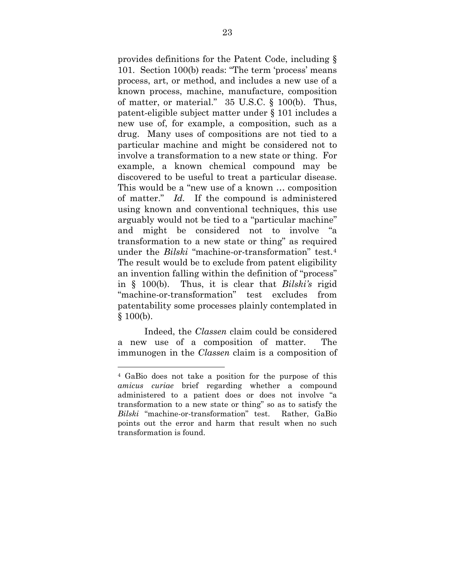provides definitions for the Patent Code, including § 101. Section 100(b) reads: "The term 'process' means process, art, or method, and includes a new use of a known process, machine, manufacture, composition of matter, or material." 35 U.S.C. § 100(b). Thus, patent-eligible subject matter under § 101 includes a new use of, for example, a composition, such as a drug. Many uses of compositions are not tied to a particular machine and might be considered not to involve a transformation to a new state or thing. For example, a known chemical compound may be discovered to be useful to treat a particular disease. This would be a "new use of a known … composition of matter." *Id.* If the compound is administered using known and conventional techniques, this use arguably would not be tied to a "particular machine" and might be considered not to involve "a transformation to a new state or thing" as required under the *Bilski* "machine-or-transformation" test.[4](#page-27-0) The result would be to exclude from patent eligibility an invention falling within the definition of "process" in § 100(b). Thus, it is clear that *Bilski's* rigid "machine-or-transformation" test excludes from patentability some processes plainly contemplated in § 100(b).

Indeed, the *Classen* claim could be considered a new use of a composition of matter. The immunogen in the *Classen* claim is a composition of

 $\overline{a}$ 

<span id="page-27-0"></span><sup>4</sup> GaBio does not take a position for the purpose of this *amicus curiae* brief regarding whether a compound administered to a patient does or does not involve "a transformation to a new state or thing" so as to satisfy the *Bilski* "machine-or-transformation" test. Rather, GaBio points out the error and harm that result when no such transformation is found.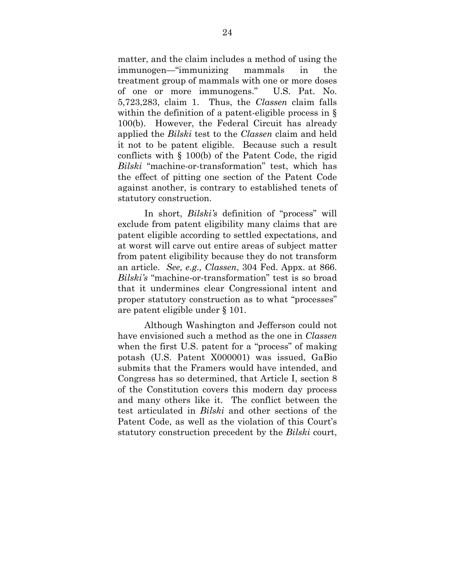matter, and the claim includes a method of using the immunogen—"immunizing mammals in the treatment group of mammals with one or more doses of one or more immunogens." U.S. Pat. No. 5,723,283, claim 1. Thus, the *Classen* claim falls within the definition of a patent-eligible process in § 100(b). However, the Federal Circuit has already applied the *Bilski* test to the *Classen* claim and held it not to be patent eligible. Because such a result conflicts with § 100(b) of the Patent Code, the rigid *Bilski* "machine-or-transformation" test, which has the effect of pitting one section of the Patent Code against another, is contrary to established tenets of statutory construction.

In short, *Bilski's* definition of "process" will exclude from patent eligibility many claims that are patent eligible according to settled expectations, and at worst will carve out entire areas of subject matter from patent eligibility because they do not transform an article. *See, e.g., Classen*, 304 Fed. Appx. at 866. *Bilski's* "machine-or-transformation" test is so broad that it undermines clear Congressional intent and proper statutory construction as to what "processes" are patent eligible under § 101.

Although Washington and Jefferson could not have envisioned such a method as the one in *Classen* when the first U.S. patent for a "process" of making potash (U.S. Patent X000001) was issued, GaBio submits that the Framers would have intended, and Congress has so determined, that Article I, section 8 of the Constitution covers this modern day process and many others like it. The conflict between the test articulated in *Bilski* and other sections of the Patent Code, as well as the violation of this Court's statutory construction precedent by the *Bilski* court,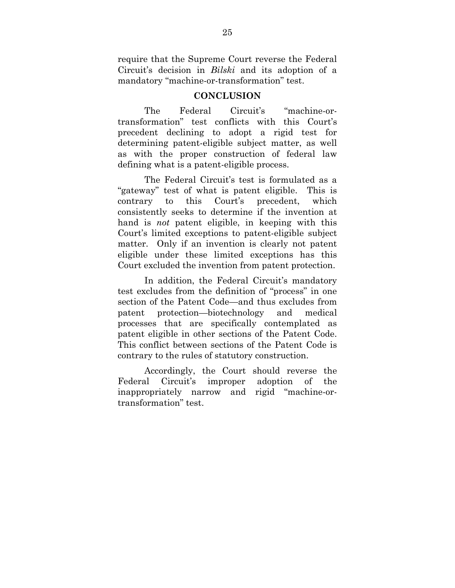require that the Supreme Court reverse the Federal Circuit's decision in *Bilski* and its adoption of a mandatory "machine-or-transformation" test.

#### **CONCLUSION**

<span id="page-29-0"></span>The Federal Circuit's "machine-ortransformation" test conflicts with this Court's precedent declining to adopt a rigid test for determining patent-eligible subject matter, as well as with the proper construction of federal law defining what is a patent-eligible process.

The Federal Circuit's test is formulated as a "gateway" test of what is patent eligible. This is contrary to this Court's precedent, which consistently seeks to determine if the invention at hand is *not* patent eligible, in keeping with this Court's limited exceptions to patent-eligible subject matter. Only if an invention is clearly not patent eligible under these limited exceptions has this Court excluded the invention from patent protection.

In addition, the Federal Circuit's mandatory test excludes from the definition of "process" in one section of the Patent Code—and thus excludes from patent protection—biotechnology and medical processes that are specifically contemplated as patent eligible in other sections of the Patent Code. This conflict between sections of the Patent Code is contrary to the rules of statutory construction.

Accordingly, the Court should reverse the Federal Circuit's improper adoption of the inappropriately narrow and rigid "machine-ortransformation" test.